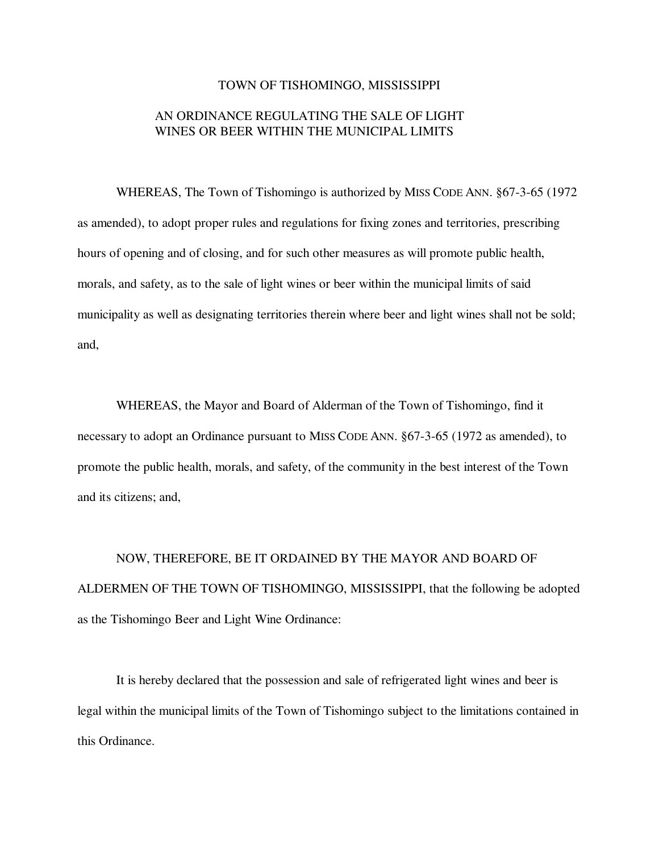#### TOWN OF TISHOMINGO, MISSISSIPPI

# AN ORDINANCE REGULATING THE SALE OF LIGHT WINES OR BEER WITHIN THE MUNICIPAL LIMITS

WHEREAS, The Town of Tishomingo is authorized by MISS CODE ANN. §67-3-65 (1972 as amended), to adopt proper rules and regulations for fixing zones and territories, prescribing hours of opening and of closing, and for such other measures as will promote public health, morals, and safety, as to the sale of light wines or beer within the municipal limits of said municipality as well as designating territories therein where beer and light wines shall not be sold; and,

WHEREAS, the Mayor and Board of Alderman of the Town of Tishomingo, find it necessary to adopt an Ordinance pursuant to MISS CODE ANN. §67-3-65 (1972 as amended), to promote the public health, morals, and safety, of the community in the best interest of the Town and its citizens; and,

NOW, THEREFORE, BE IT ORDAINED BY THE MAYOR AND BOARD OF ALDERMEN OF THE TOWN OF TISHOMINGO, MISSISSIPPI, that the following be adopted as the Tishomingo Beer and Light Wine Ordinance:

It is hereby declared that the possession and sale of refrigerated light wines and beer is legal within the municipal limits of the Town of Tishomingo subject to the limitations contained in this Ordinance.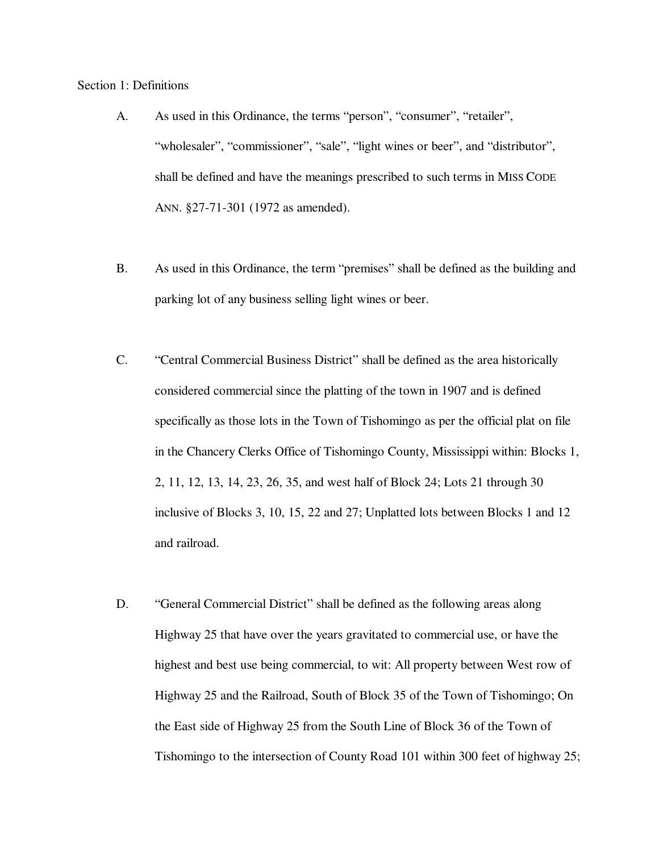#### Section 1: Definitions

- A. As used in this Ordinance, the terms "person", "consumer", "retailer", "wholesaler", "commissioner", "sale", "light wines or beer", and "distributor", shall be defined and have the meanings prescribed to such terms in MISS CODE ANN. §27-71-301 (1972 as amended).
- B. As used in this Ordinance, the term "premises" shall be defined as the building and parking lot of any business selling light wines or beer.
- C. "Central Commercial Business District" shall be defined as the area historically considered commercial since the platting of the town in 1907 and is defined specifically as those lots in the Town of Tishomingo as per the official plat on file in the Chancery Clerks Office of Tishomingo County, Mississippi within: Blocks 1, 2, 11, 12, 13, 14, 23, 26, 35, and west half of Block 24; Lots 21 through 30 inclusive of Blocks 3, 10, 15, 22 and 27; Unplatted lots between Blocks 1 and 12 and railroad.
- D. "General Commercial District" shall be defined as the following areas along Highway 25 that have over the years gravitated to commercial use, or have the highest and best use being commercial, to wit: All property between West row of Highway 25 and the Railroad, South of Block 35 of the Town of Tishomingo; On the East side of Highway 25 from the South Line of Block 36 of the Town of Tishomingo to the intersection of County Road 101 within 300 feet of highway 25;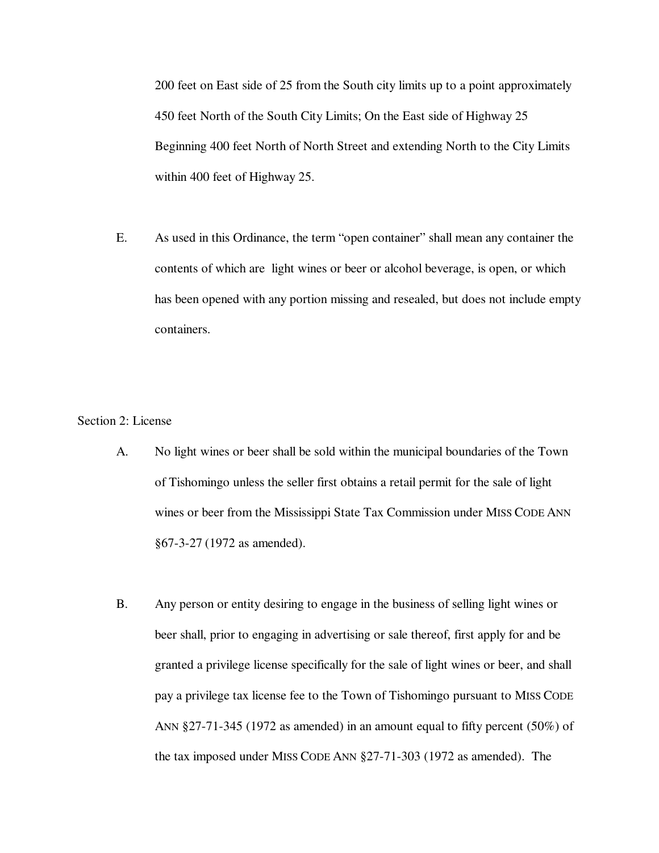200 feet on East side of 25 from the South city limits up to a point approximately 450 feet North of the South City Limits; On the East side of Highway 25 Beginning 400 feet North of North Street and extending North to the City Limits within 400 feet of Highway 25.

E. As used in this Ordinance, the term "open container" shall mean any container the contents of which are light wines or beer or alcohol beverage, is open, or which has been opened with any portion missing and resealed, but does not include empty containers.

#### Section 2: License

- A. No light wines or beer shall be sold within the municipal boundaries of the Town of Tishomingo unless the seller first obtains a retail permit for the sale of light wines or beer from the Mississippi State Tax Commission under MISS CODE ANN §67-3-27 (1972 as amended).
- B. Any person or entity desiring to engage in the business of selling light wines or beer shall, prior to engaging in advertising or sale thereof, first apply for and be granted a privilege license specifically for the sale of light wines or beer, and shall pay a privilege tax license fee to the Town of Tishomingo pursuant to MISS CODE ANN §27-71-345 (1972 as amended) in an amount equal to fifty percent (50%) of the tax imposed under MISS CODE ANN §27-71-303 (1972 as amended). The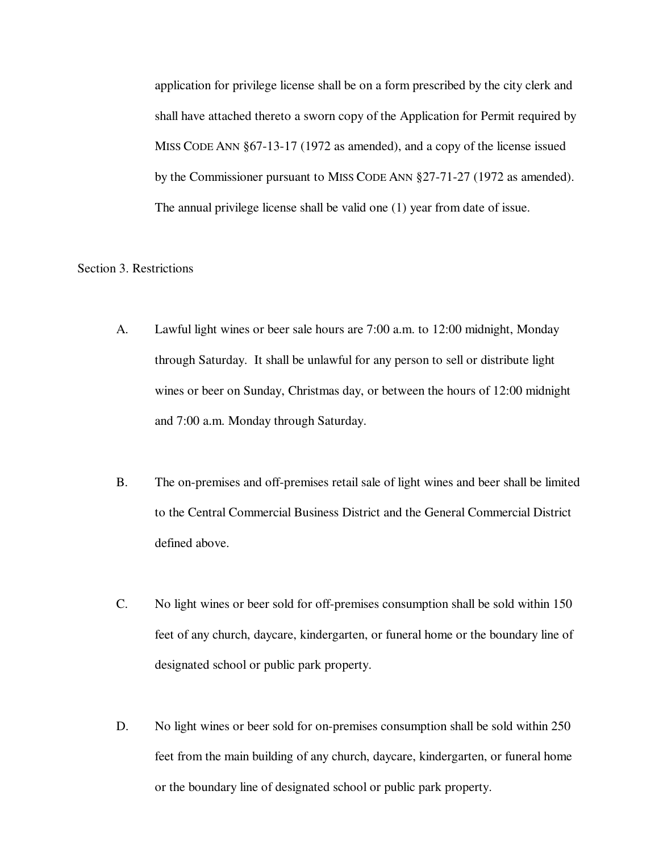application for privilege license shall be on a form prescribed by the city clerk and shall have attached thereto a sworn copy of the Application for Permit required by MISS CODE ANN §67-13-17 (1972 as amended), and a copy of the license issued by the Commissioner pursuant to MISS CODE ANN §27-71-27 (1972 as amended). The annual privilege license shall be valid one (1) year from date of issue.

## Section 3. Restrictions

- A. Lawful light wines or beer sale hours are 7:00 a.m. to 12:00 midnight, Monday through Saturday. It shall be unlawful for any person to sell or distribute light wines or beer on Sunday, Christmas day, or between the hours of 12:00 midnight and 7:00 a.m. Monday through Saturday.
- B. The on-premises and off-premises retail sale of light wines and beer shall be limited to the Central Commercial Business District and the General Commercial District defined above.
- C. No light wines or beer sold for off-premises consumption shall be sold within 150 feet of any church, daycare, kindergarten, or funeral home or the boundary line of designated school or public park property.
- D. No light wines or beer sold for on-premises consumption shall be sold within 250 feet from the main building of any church, daycare, kindergarten, or funeral home or the boundary line of designated school or public park property.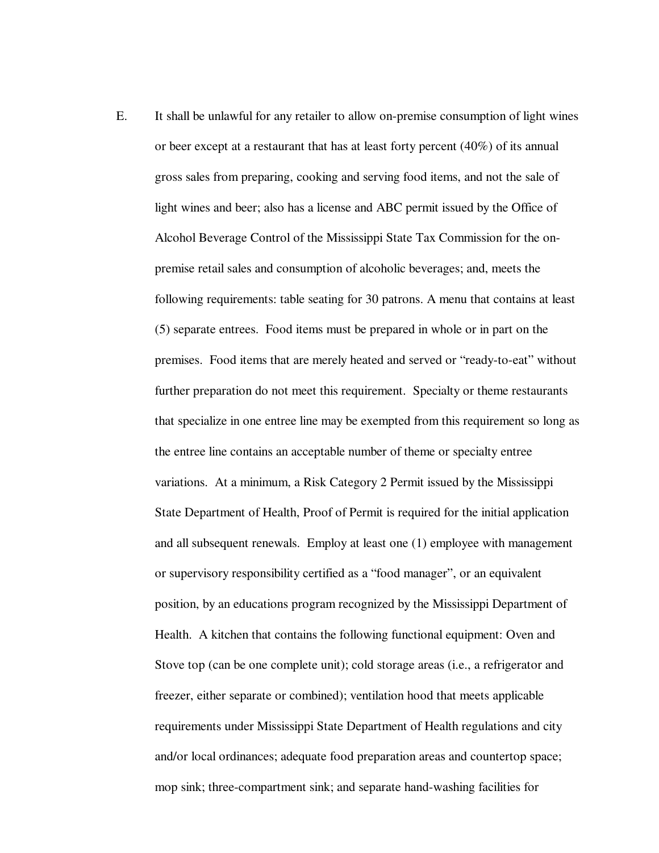E. It shall be unlawful for any retailer to allow on-premise consumption of light wines or beer except at a restaurant that has at least forty percent (40%) of its annual gross sales from preparing, cooking and serving food items, and not the sale of light wines and beer; also has a license and ABC permit issued by the Office of Alcohol Beverage Control of the Mississippi State Tax Commission for the onpremise retail sales and consumption of alcoholic beverages; and, meets the following requirements: table seating for 30 patrons. A menu that contains at least (5) separate entrees. Food items must be prepared in whole or in part on the premises. Food items that are merely heated and served or "ready-to-eat" without further preparation do not meet this requirement. Specialty or theme restaurants that specialize in one entree line may be exempted from this requirement so long as the entree line contains an acceptable number of theme or specialty entree variations. At a minimum, a Risk Category 2 Permit issued by the Mississippi State Department of Health, Proof of Permit is required for the initial application and all subsequent renewals. Employ at least one (1) employee with management or supervisory responsibility certified as a "food manager", or an equivalent position, by an educations program recognized by the Mississippi Department of Health. A kitchen that contains the following functional equipment: Oven and Stove top (can be one complete unit); cold storage areas (i.e., a refrigerator and freezer, either separate or combined); ventilation hood that meets applicable requirements under Mississippi State Department of Health regulations and city and/or local ordinances; adequate food preparation areas and countertop space; mop sink; three-compartment sink; and separate hand-washing facilities for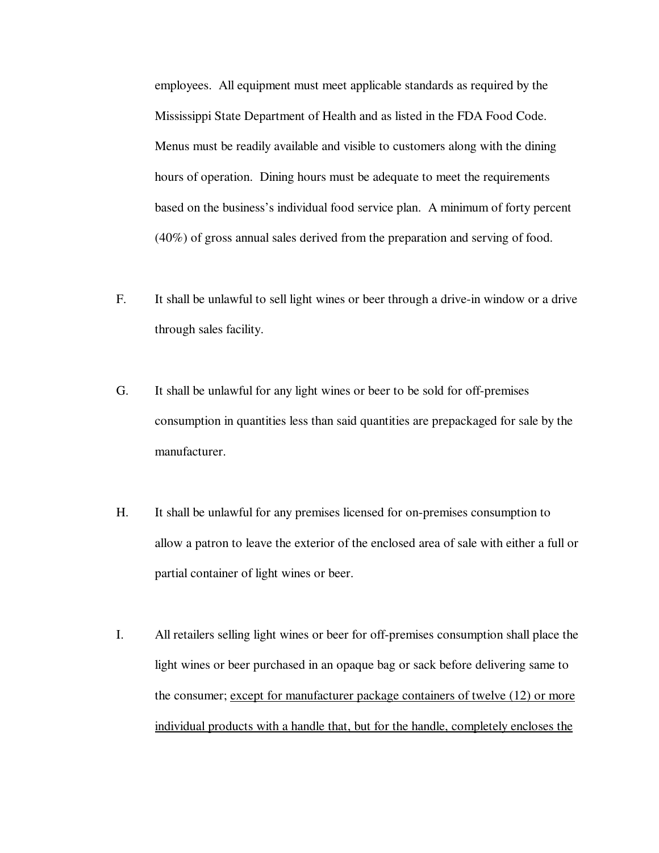employees. All equipment must meet applicable standards as required by the Mississippi State Department of Health and as listed in the FDA Food Code. Menus must be readily available and visible to customers along with the dining hours of operation. Dining hours must be adequate to meet the requirements based on the business's individual food service plan. A minimum of forty percent (40%) of gross annual sales derived from the preparation and serving of food.

- F. It shall be unlawful to sell light wines or beer through a drive-in window or a drive through sales facility.
- G. It shall be unlawful for any light wines or beer to be sold for off-premises consumption in quantities less than said quantities are prepackaged for sale by the manufacturer.
- H. It shall be unlawful for any premises licensed for on-premises consumption to allow a patron to leave the exterior of the enclosed area of sale with either a full or partial container of light wines or beer.
- I. All retailers selling light wines or beer for off-premises consumption shall place the light wines or beer purchased in an opaque bag or sack before delivering same to the consumer; except for manufacturer package containers of twelve (12) or more individual products with a handle that, but for the handle, completely encloses the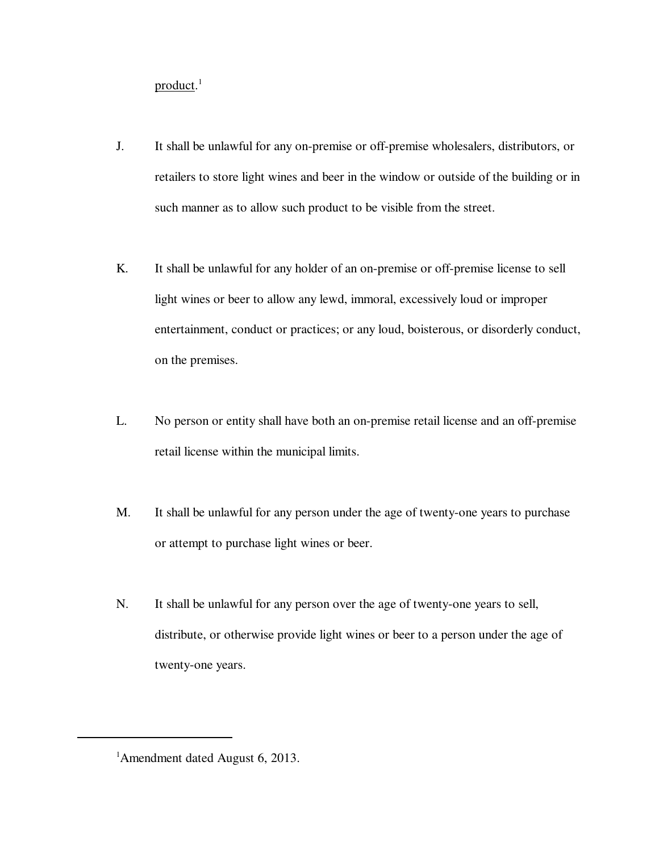product.<sup>1</sup>

- J. It shall be unlawful for any on-premise or off-premise wholesalers, distributors, or retailers to store light wines and beer in the window or outside of the building or in such manner as to allow such product to be visible from the street.
- K. It shall be unlawful for any holder of an on-premise or off-premise license to sell light wines or beer to allow any lewd, immoral, excessively loud or improper entertainment, conduct or practices; or any loud, boisterous, or disorderly conduct, on the premises.
- L. No person or entity shall have both an on-premise retail license and an off-premise retail license within the municipal limits.
- M. It shall be unlawful for any person under the age of twenty-one years to purchase or attempt to purchase light wines or beer.
- N. It shall be unlawful for any person over the age of twenty-one years to sell, distribute, or otherwise provide light wines or beer to a person under the age of twenty-one years.

<sup>&</sup>lt;sup>1</sup> Amendment dated August 6, 2013.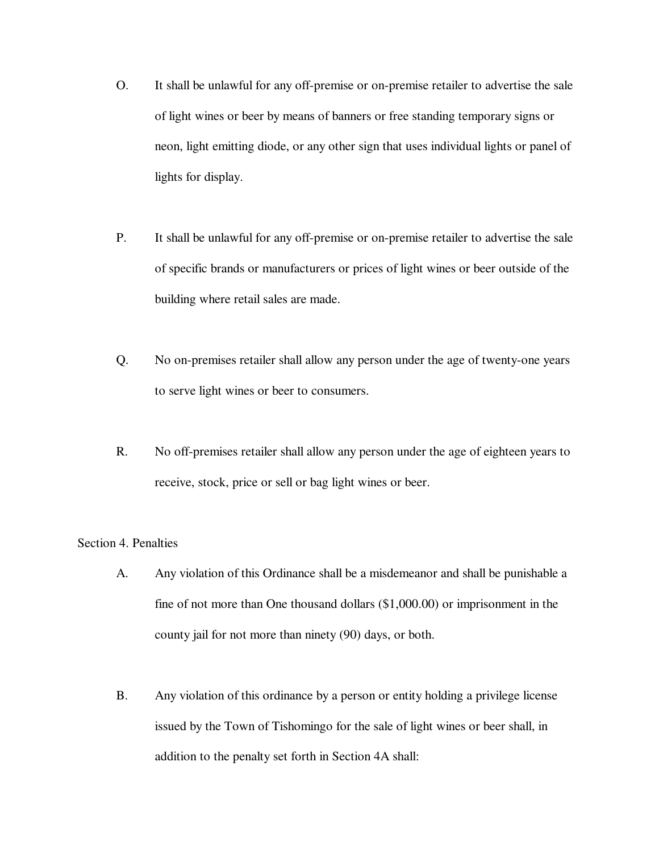- O. It shall be unlawful for any off-premise or on-premise retailer to advertise the sale of light wines or beer by means of banners or free standing temporary signs or neon, light emitting diode, or any other sign that uses individual lights or panel of lights for display.
- P. It shall be unlawful for any off-premise or on-premise retailer to advertise the sale of specific brands or manufacturers or prices of light wines or beer outside of the building where retail sales are made.
- Q. No on-premises retailer shall allow any person under the age of twenty-one years to serve light wines or beer to consumers.
- R. No off-premises retailer shall allow any person under the age of eighteen years to receive, stock, price or sell or bag light wines or beer.

## Section 4. Penalties

- A. Any violation of this Ordinance shall be a misdemeanor and shall be punishable a fine of not more than One thousand dollars (\$1,000.00) or imprisonment in the county jail for not more than ninety (90) days, or both.
- B. Any violation of this ordinance by a person or entity holding a privilege license issued by the Town of Tishomingo for the sale of light wines or beer shall, in addition to the penalty set forth in Section 4A shall: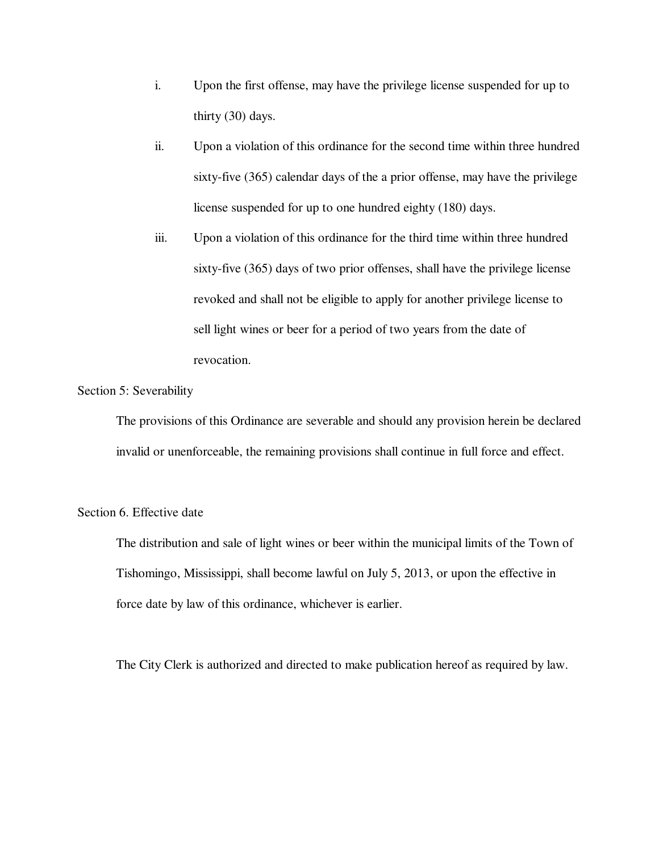- i. Upon the first offense, may have the privilege license suspended for up to thirty (30) days.
- ii. Upon a violation of this ordinance for the second time within three hundred sixty-five (365) calendar days of the a prior offense, may have the privilege license suspended for up to one hundred eighty (180) days.
- iii. Upon a violation of this ordinance for the third time within three hundred sixty-five (365) days of two prior offenses, shall have the privilege license revoked and shall not be eligible to apply for another privilege license to sell light wines or beer for a period of two years from the date of revocation.

### Section 5: Severability

The provisions of this Ordinance are severable and should any provision herein be declared invalid or unenforceable, the remaining provisions shall continue in full force and effect.

#### Section 6. Effective date

The distribution and sale of light wines or beer within the municipal limits of the Town of Tishomingo, Mississippi, shall become lawful on July 5, 2013, or upon the effective in force date by law of this ordinance, whichever is earlier.

The City Clerk is authorized and directed to make publication hereof as required by law.